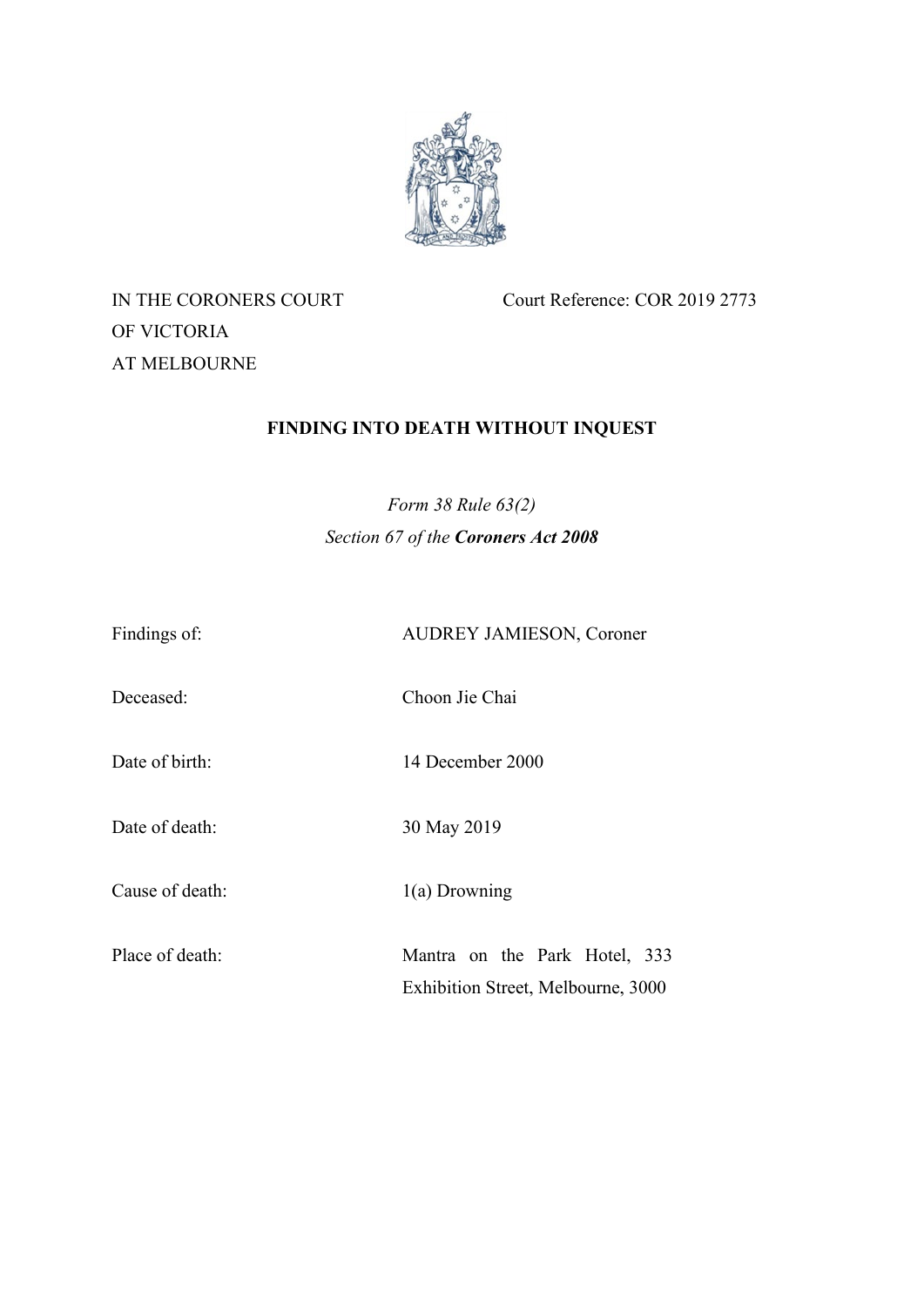

# OF VICTORIA AT MELBOURNE

IN THE CORONERS COURT Court Reference: COR 2019 2773

## **FINDING INTO DEATH WITHOUT INQUEST**

*Form 38 Rule 63(2) Section 67 of the Coroners Act 2008*

| Findings of:    | <b>AUDREY JAMIESON, Coroner</b>                                     |
|-----------------|---------------------------------------------------------------------|
| Deceased:       | Choon Jie Chai                                                      |
| Date of birth:  | 14 December 2000                                                    |
| Date of death:  | 30 May 2019                                                         |
| Cause of death: | $1(a)$ Drowning                                                     |
| Place of death: | Mantra on the Park Hotel, 333<br>Exhibition Street, Melbourne, 3000 |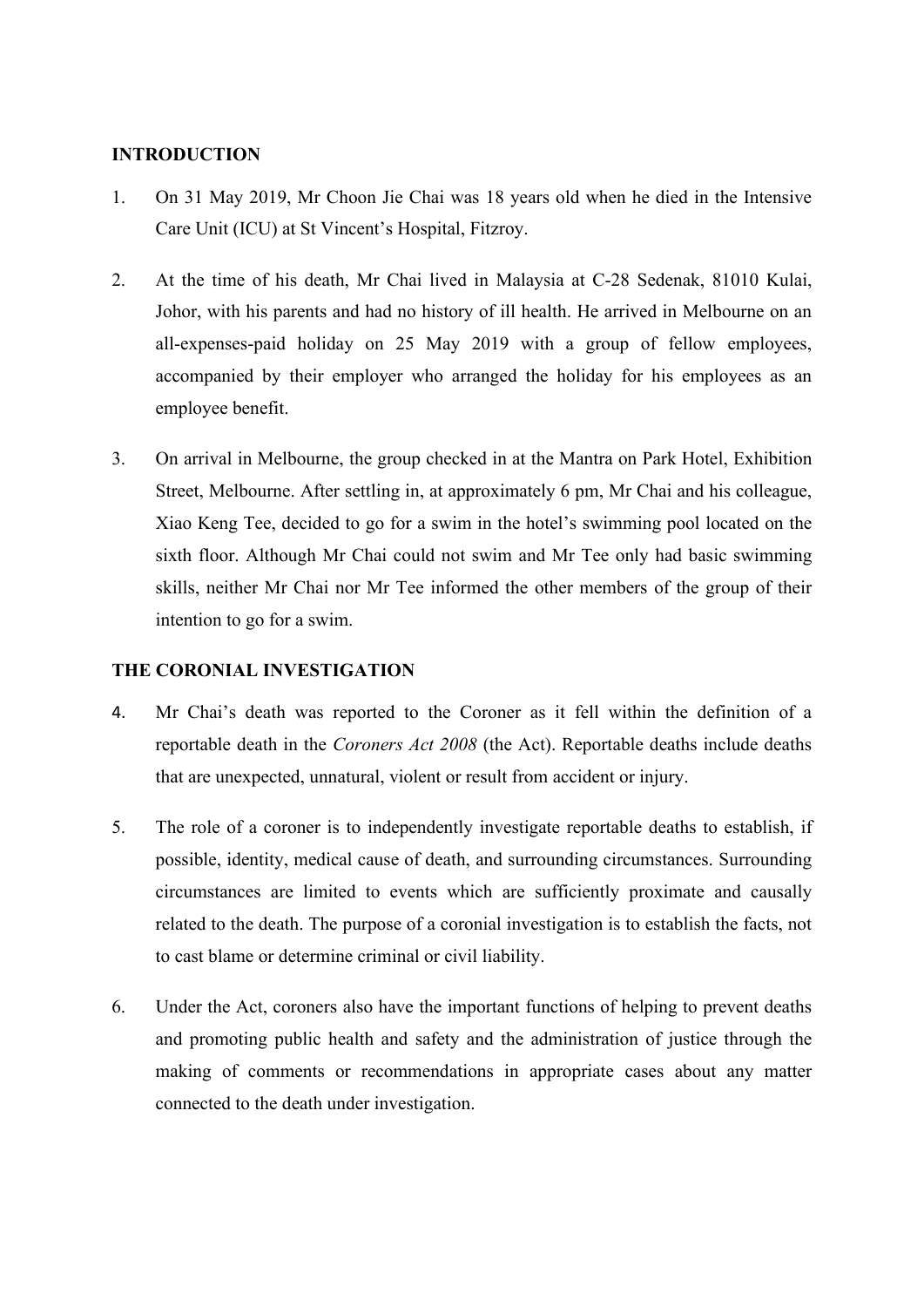## **INTRODUCTION**

- 1. On 31 May 2019, Mr Choon Jie Chai was 18 years old when he died in the Intensive Care Unit (ICU) at St Vincent's Hospital, Fitzroy.
- 2. At the time of his death, Mr Chai lived in Malaysia at C-28 Sedenak, 81010 Kulai, Johor, with his parents and had no history of ill health. He arrived in Melbourne on an all-expenses-paid holiday on 25 May 2019 with a group of fellow employees, accompanied by their employer who arranged the holiday for his employees as an employee benefit.
- 3. On arrival in Melbourne, the group checked in at the Mantra on Park Hotel, Exhibition Street, Melbourne. After settling in, at approximately 6 pm, Mr Chai and his colleague, Xiao Keng Tee, decided to go for a swim in the hotel's swimming pool located on the sixth floor. Although Mr Chai could not swim and Mr Tee only had basic swimming skills, neither Mr Chai nor Mr Tee informed the other members of the group of their intention to go for a swim.

## **THE CORONIAL INVESTIGATION**

- 4. Mr Chai's death was reported to the Coroner as it fell within the definition of a reportable death in the *Coroners Act 2008* (the Act). Reportable deaths include deaths that are unexpected, unnatural, violent or result from accident or injury.
- 5. The role of a coroner is to independently investigate reportable deaths to establish, if possible, identity, medical cause of death, and surrounding circumstances. Surrounding circumstances are limited to events which are sufficiently proximate and causally related to the death. The purpose of a coronial investigation is to establish the facts, not to cast blame or determine criminal or civil liability.
- 6. Under the Act, coroners also have the important functions of helping to prevent deaths and promoting public health and safety and the administration of justice through the making of comments or recommendations in appropriate cases about any matter connected to the death under investigation.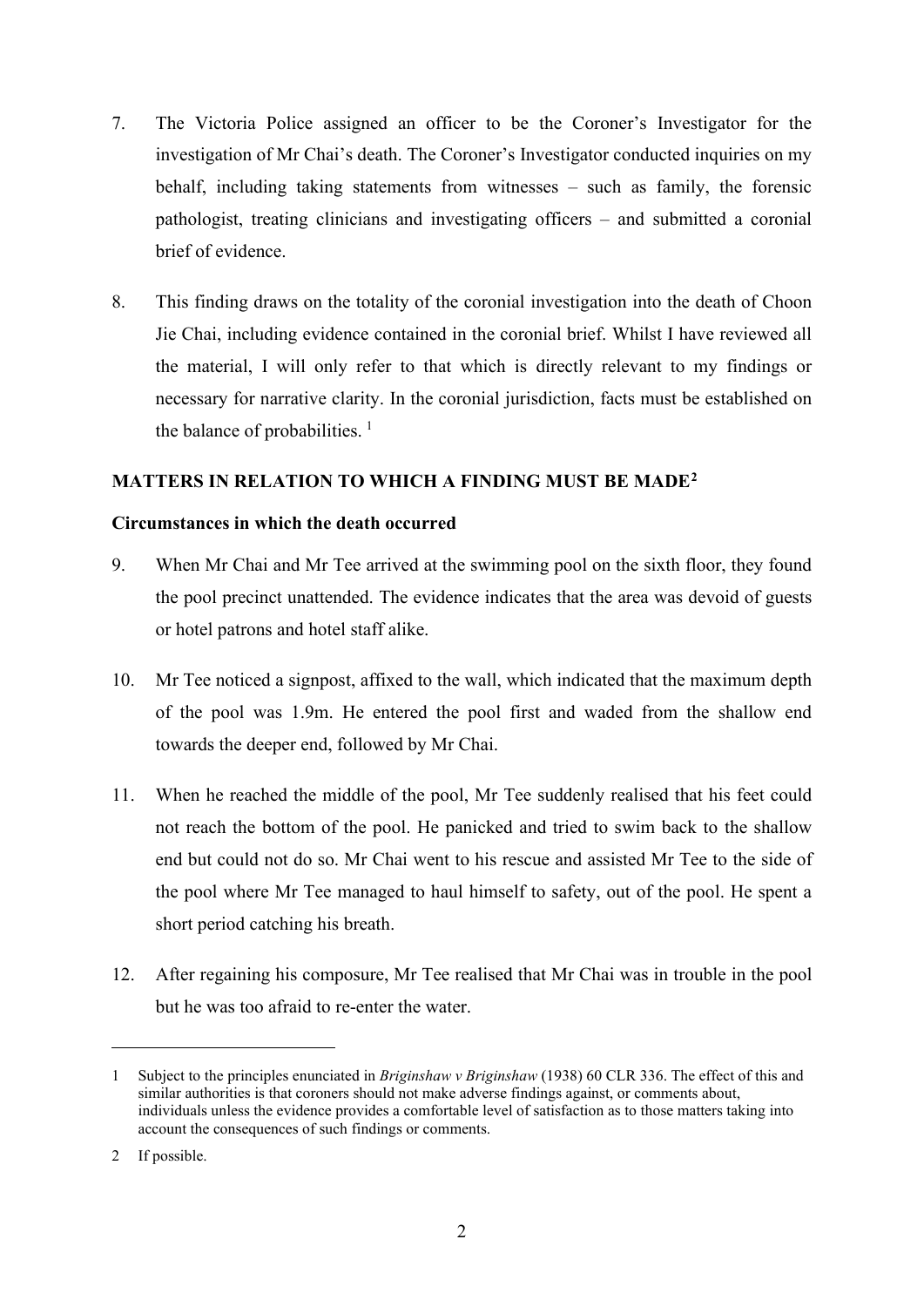- 7. The Victoria Police assigned an officer to be the Coroner's Investigator for the investigation of Mr Chai's death. The Coroner's Investigator conducted inquiries on my behalf, including taking statements from witnesses – such as family, the forensic pathologist, treating clinicians and investigating officers – and submitted a coronial brief of evidence.
- 8. This finding draws on the totality of the coronial investigation into the death of Choon Jie Chai, including evidence contained in the coronial brief. Whilst I have reviewed all the material, I will only refer to that which is directly relevant to my findings or necessary for narrative clarity. In the coronial jurisdiction, facts must be established on the balance of probabilities.  $<sup>1</sup>$  $<sup>1</sup>$  $<sup>1</sup>$ </sup>

## **MATTERS IN RELATION TO WHICH A FINDING MUST BE MADE[2](#page-2-1)**

#### **Circumstances in which the death occurred**

- 9. When Mr Chai and Mr Tee arrived at the swimming pool on the sixth floor, they found the pool precinct unattended. The evidence indicates that the area was devoid of guests or hotel patrons and hotel staff alike.
- 10. Mr Tee noticed a signpost, affixed to the wall, which indicated that the maximum depth of the pool was 1.9m. He entered the pool first and waded from the shallow end towards the deeper end, followed by Mr Chai.
- 11. When he reached the middle of the pool, Mr Tee suddenly realised that his feet could not reach the bottom of the pool. He panicked and tried to swim back to the shallow end but could not do so. Mr Chai went to his rescue and assisted Mr Tee to the side of the pool where Mr Tee managed to haul himself to safety, out of the pool. He spent a short period catching his breath.
- 12. After regaining his composure, Mr Tee realised that Mr Chai was in trouble in the pool but he was too afraid to re-enter the water.

<span id="page-2-0"></span><sup>1</sup> Subject to the principles enunciated in *Briginshaw v Briginshaw* (1938) 60 CLR 336. The effect of this and similar authorities is that coroners should not make adverse findings against, or comments about, individuals unless the evidence provides a comfortable level of satisfaction as to those matters taking into account the consequences of such findings or comments.

<span id="page-2-1"></span><sup>2</sup> If possible.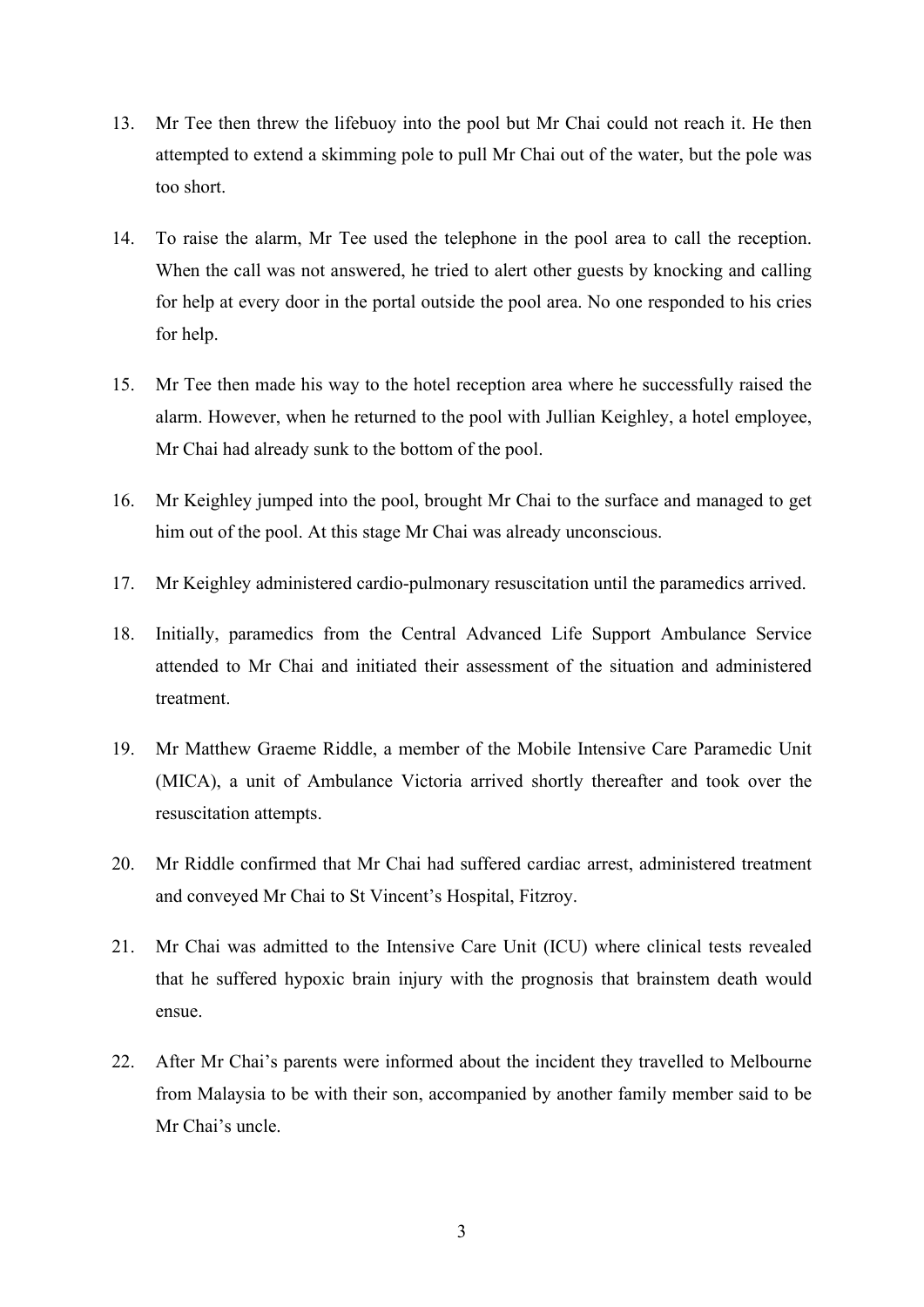- 13. Mr Tee then threw the lifebuoy into the pool but Mr Chai could not reach it. He then attempted to extend a skimming pole to pull Mr Chai out of the water, but the pole was too short.
- 14. To raise the alarm, Mr Tee used the telephone in the pool area to call the reception. When the call was not answered, he tried to alert other guests by knocking and calling for help at every door in the portal outside the pool area. No one responded to his cries for help.
- 15. Mr Tee then made his way to the hotel reception area where he successfully raised the alarm. However, when he returned to the pool with Jullian Keighley, a hotel employee, Mr Chai had already sunk to the bottom of the pool.
- 16. Mr Keighley jumped into the pool, brought Mr Chai to the surface and managed to get him out of the pool. At this stage Mr Chai was already unconscious.
- 17. Mr Keighley administered cardio-pulmonary resuscitation until the paramedics arrived.
- 18. Initially, paramedics from the Central Advanced Life Support Ambulance Service attended to Mr Chai and initiated their assessment of the situation and administered treatment.
- 19. Mr Matthew Graeme Riddle, a member of the Mobile Intensive Care Paramedic Unit (MICA), a unit of Ambulance Victoria arrived shortly thereafter and took over the resuscitation attempts.
- 20. Mr Riddle confirmed that Mr Chai had suffered cardiac arrest, administered treatment and conveyed Mr Chai to St Vincent's Hospital, Fitzroy.
- 21. Mr Chai was admitted to the Intensive Care Unit (ICU) where clinical tests revealed that he suffered hypoxic brain injury with the prognosis that brainstem death would ensue.
- 22. After Mr Chai's parents were informed about the incident they travelled to Melbourne from Malaysia to be with their son, accompanied by another family member said to be Mr Chai's uncle.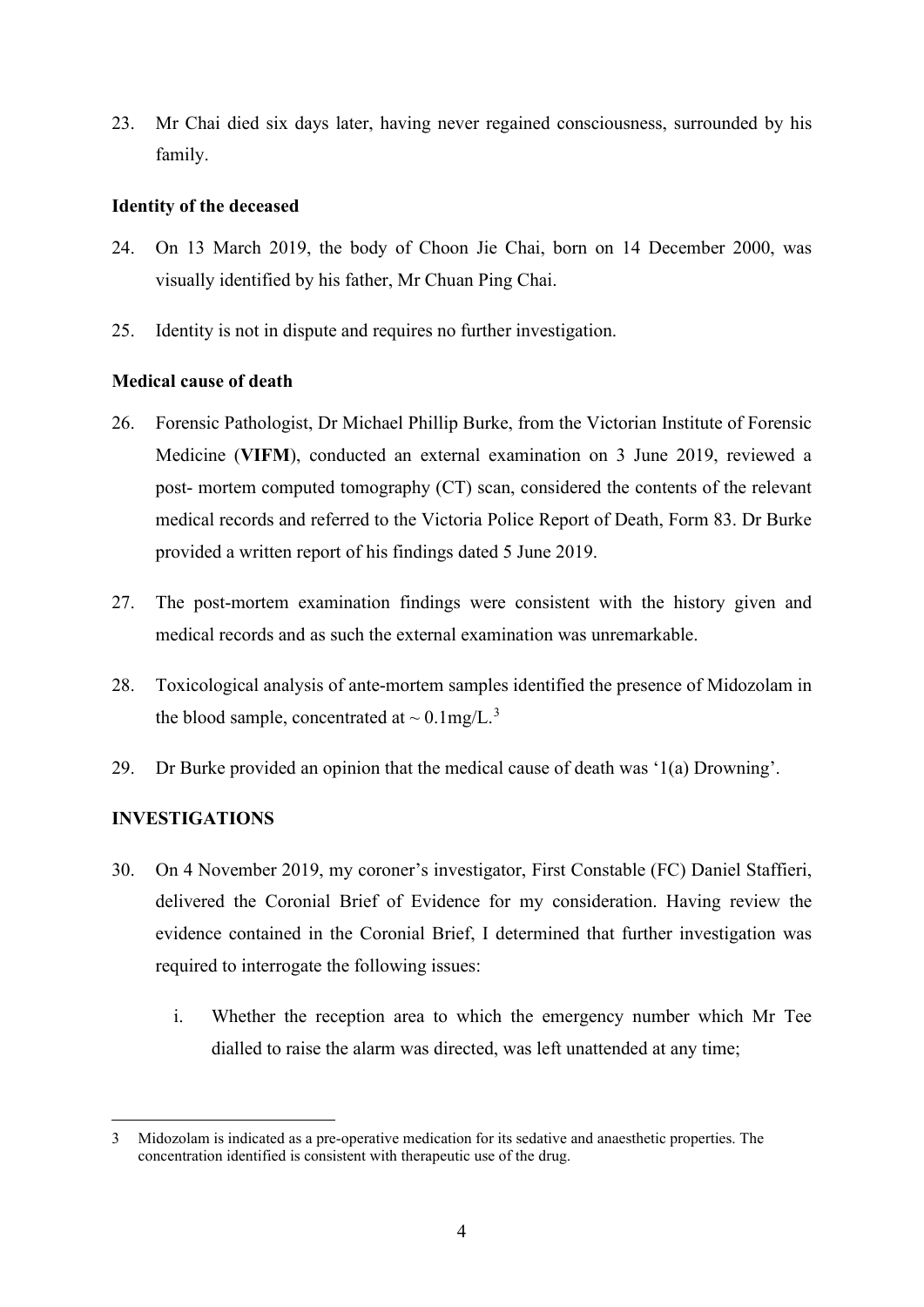23. Mr Chai died six days later, having never regained consciousness, surrounded by his family.

#### **Identity of the deceased**

- 24. On 13 March 2019, the body of Choon Jie Chai, born on 14 December 2000, was visually identified by his father, Mr Chuan Ping Chai.
- 25. Identity is not in dispute and requires no further investigation.

## **Medical cause of death**

- 26. Forensic Pathologist, Dr Michael Phillip Burke, from the Victorian Institute of Forensic Medicine (**VIFM**), conducted an external examination on 3 June 2019, reviewed a post- mortem computed tomography (CT) scan, considered the contents of the relevant medical records and referred to the Victoria Police Report of Death, Form 83. Dr Burke provided a written report of his findings dated 5 June 2019.
- 27. The post-mortem examination findings were consistent with the history given and medical records and as such the external examination was unremarkable.
- 28. Toxicological analysis of ante-mortem samples identified the presence of Midozolam in the blood sample, concentrated at  $\sim 0.1 \text{mg/L.}^3$  $\sim 0.1 \text{mg/L.}^3$
- 29. Dr Burke provided an opinion that the medical cause of death was '1(a) Drowning'.

## **INVESTIGATIONS**

- 30. On 4 November 2019, my coroner's investigator, First Constable (FC) Daniel Staffieri, delivered the Coronial Brief of Evidence for my consideration. Having review the evidence contained in the Coronial Brief, I determined that further investigation was required to interrogate the following issues:
	- i. Whether the reception area to which the emergency number which Mr Tee dialled to raise the alarm was directed, was left unattended at any time;

<span id="page-4-0"></span><sup>3</sup> Midozolam is indicated as a pre-operative medication for its sedative and anaesthetic properties. The concentration identified is consistent with therapeutic use of the drug.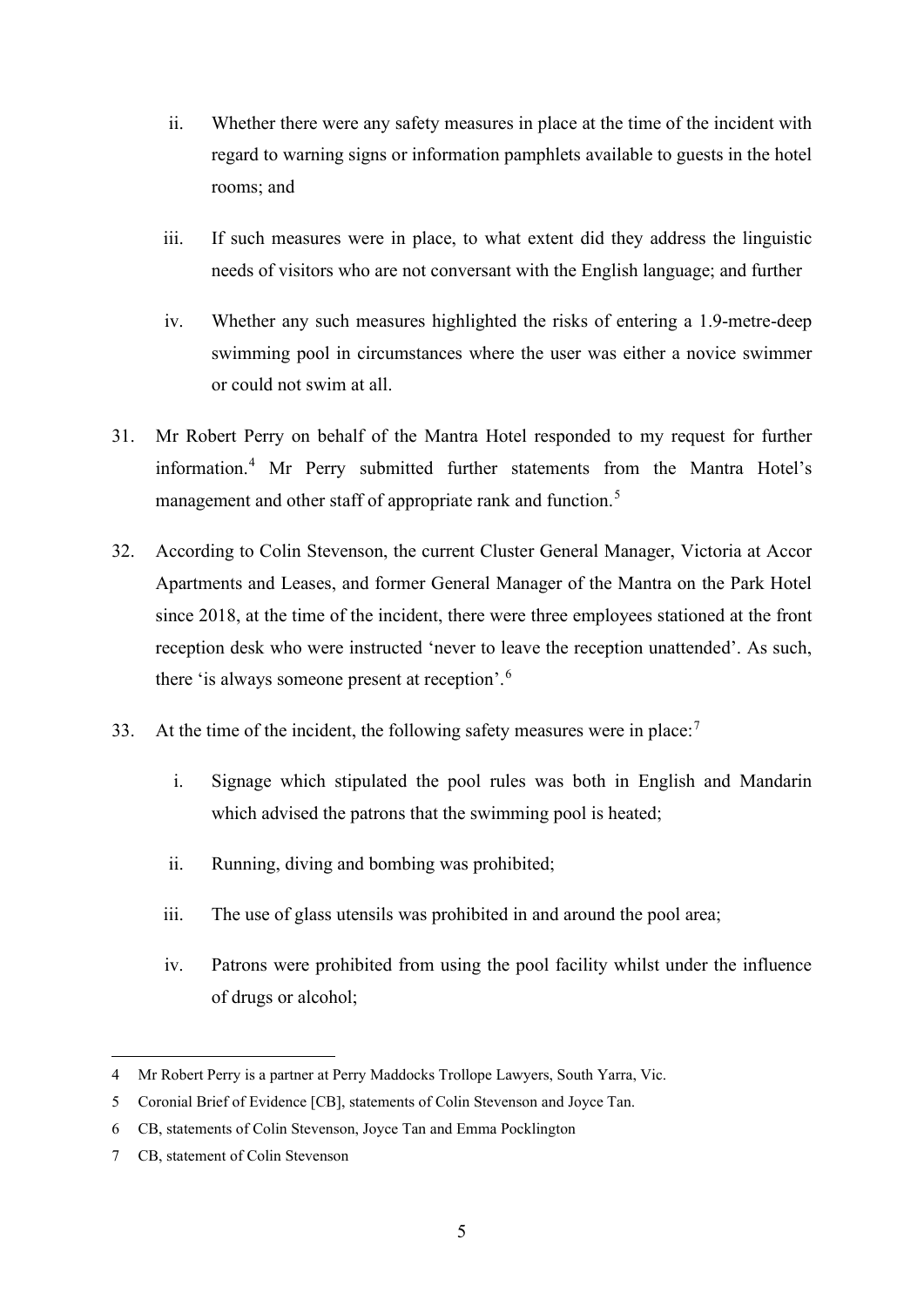- ii. Whether there were any safety measures in place at the time of the incident with regard to warning signs or information pamphlets available to guests in the hotel rooms; and
- iii. If such measures were in place, to what extent did they address the linguistic needs of visitors who are not conversant with the English language; and further
- iv. Whether any such measures highlighted the risks of entering a 1.9-metre-deep swimming pool in circumstances where the user was either a novice swimmer or could not swim at all.
- 31. Mr Robert Perry on behalf of the Mantra Hotel responded to my request for further information. [4](#page-5-0) Mr Perry submitted further statements from the Mantra Hotel's management and other staff of appropriate rank and function.<sup>[5](#page-5-1)</sup>
- 32. According to Colin Stevenson, the current Cluster General Manager, Victoria at Accor Apartments and Leases, and former General Manager of the Mantra on the Park Hotel since 2018, at the time of the incident, there were three employees stationed at the front reception desk who were instructed 'never to leave the reception unattended'. As such, there 'is always someone present at reception'.[6](#page-5-2)
- 33. At the time of the incident, the following safety measures were in place:<sup>[7](#page-5-3)</sup>
	- i. Signage which stipulated the pool rules was both in English and Mandarin which advised the patrons that the swimming pool is heated;
	- ii. Running, diving and bombing was prohibited;
	- iii. The use of glass utensils was prohibited in and around the pool area;
	- iv. Patrons were prohibited from using the pool facility whilst under the influence of drugs or alcohol;

<span id="page-5-0"></span><sup>4</sup> Mr Robert Perry is a partner at Perry Maddocks Trollope Lawyers, South Yarra, Vic.

<span id="page-5-1"></span><sup>5</sup> Coronial Brief of Evidence [CB], statements of Colin Stevenson and Joyce Tan.

<span id="page-5-2"></span><sup>6</sup> CB, statements of Colin Stevenson, Joyce Tan and Emma Pocklington

<span id="page-5-3"></span><sup>7</sup> CB, statement of Colin Stevenson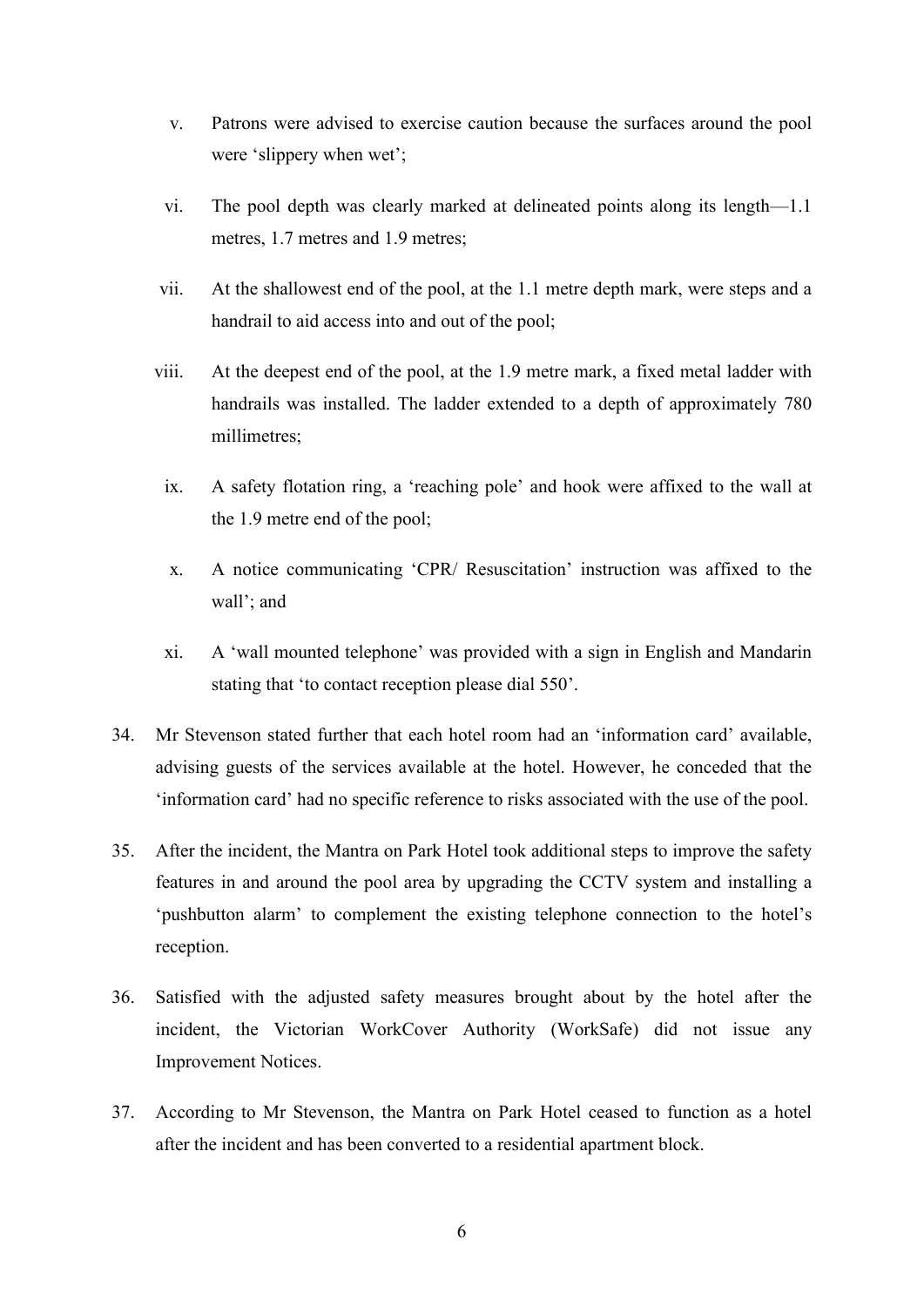- v. Patrons were advised to exercise caution because the surfaces around the pool were 'slippery when wet';
- vi. The pool depth was clearly marked at delineated points along its length—1.1 metres, 1.7 metres and 1.9 metres;
- vii. At the shallowest end of the pool, at the 1.1 metre depth mark, were steps and a handrail to aid access into and out of the pool;
- viii. At the deepest end of the pool, at the 1.9 metre mark, a fixed metal ladder with handrails was installed. The ladder extended to a depth of approximately 780 millimetres;
	- ix. A safety flotation ring, a 'reaching pole' and hook were affixed to the wall at the 1.9 metre end of the pool;
	- x. A notice communicating 'CPR/ Resuscitation' instruction was affixed to the wall'; and
	- xi. A 'wall mounted telephone' was provided with a sign in English and Mandarin stating that 'to contact reception please dial 550'.
- 34. Mr Stevenson stated further that each hotel room had an 'information card' available, advising guests of the services available at the hotel. However, he conceded that the 'information card' had no specific reference to risks associated with the use of the pool.
- 35. After the incident, the Mantra on Park Hotel took additional steps to improve the safety features in and around the pool area by upgrading the CCTV system and installing a 'pushbutton alarm' to complement the existing telephone connection to the hotel's reception.
- 36. Satisfied with the adjusted safety measures brought about by the hotel after the incident, the Victorian WorkCover Authority (WorkSafe) did not issue any Improvement Notices.
- 37. According to Mr Stevenson, the Mantra on Park Hotel ceased to function as a hotel after the incident and has been converted to a residential apartment block.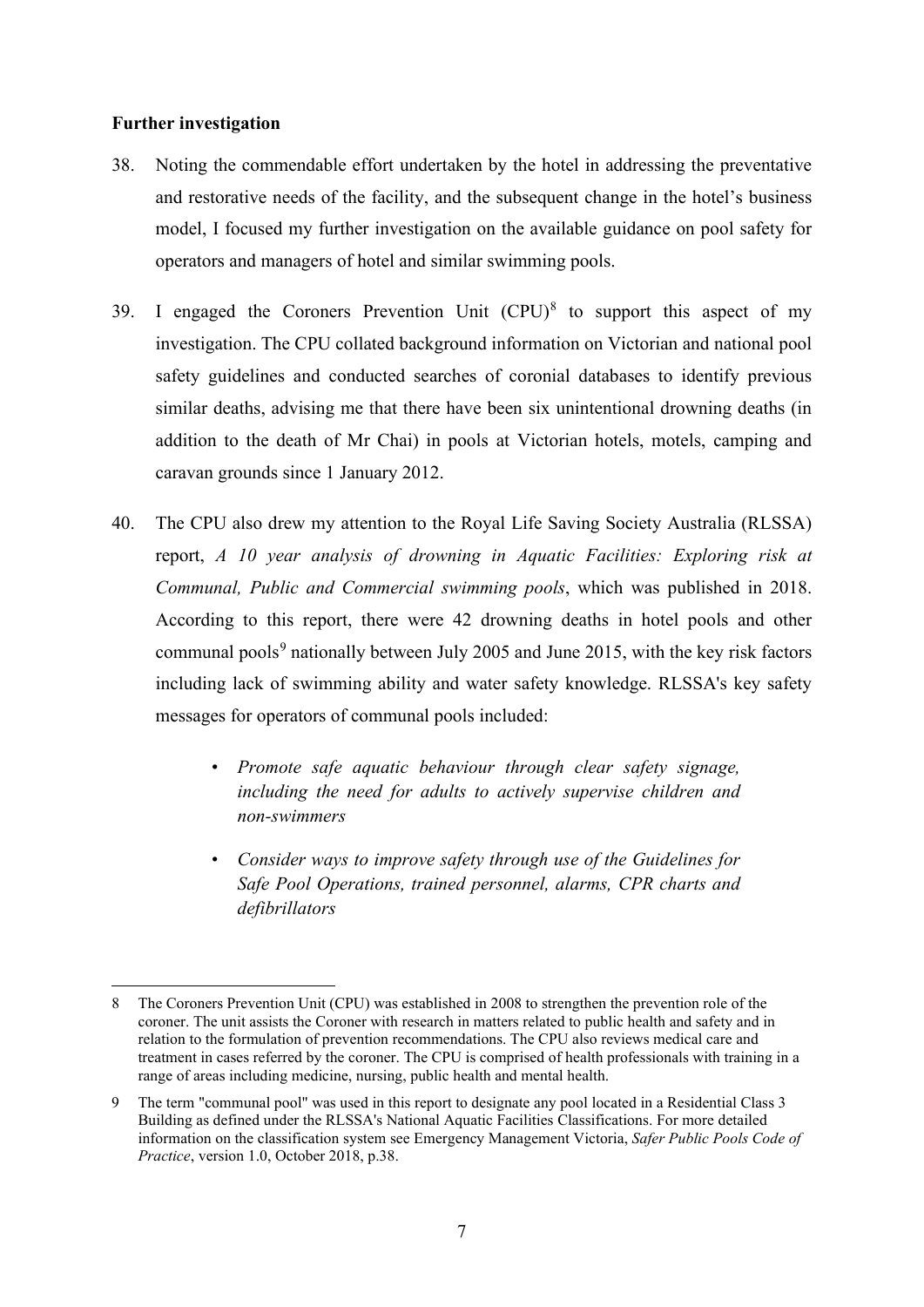#### **Further investigation**

- 38. Noting the commendable effort undertaken by the hotel in addressing the preventative and restorative needs of the facility, and the subsequent change in the hotel's business model, I focused my further investigation on the available guidance on pool safety for operators and managers of hotel and similar swimming pools.
- 39. I engaged the Coroners Prevention Unit  $(CPU)^8$  $(CPU)^8$  to support this aspect of my investigation. The CPU collated background information on Victorian and national pool safety guidelines and conducted searches of coronial databases to identify previous similar deaths, advising me that there have been six unintentional drowning deaths (in addition to the death of Mr Chai) in pools at Victorian hotels, motels, camping and caravan grounds since 1 January 2012.
- 40. The CPU also drew my attention to the Royal Life Saving Society Australia (RLSSA) report, *A 10 year analysis of drowning in Aquatic Facilities: Exploring risk at Communal, Public and Commercial swimming pools*, which was published in 2018. According to this report, there were 42 drowning deaths in hotel pools and other communal pools $9$  nationally between July 2005 and June 2015, with the key risk factors including lack of swimming ability and water safety knowledge. RLSSA's key safety messages for operators of communal pools included:
	- *• Promote safe aquatic behaviour through clear safety signage, including the need for adults to actively supervise children and non-swimmers*
	- *• Consider ways to improve safety through use of the Guidelines for Safe Pool Operations, trained personnel, alarms, CPR charts and defibrillators*

<span id="page-7-0"></span><sup>8</sup> The Coroners Prevention Unit (CPU) was established in 2008 to strengthen the prevention role of the coroner. The unit assists the Coroner with research in matters related to public health and safety and in relation to the formulation of prevention recommendations. The CPU also reviews medical care and treatment in cases referred by the coroner. The CPU is comprised of health professionals with training in a range of areas including medicine, nursing, public health and mental health.

<span id="page-7-1"></span><sup>9</sup> The term "communal pool" was used in this report to designate any pool located in a Residential Class 3 Building as defined under the RLSSA's National Aquatic Facilities Classifications. For more detailed information on the classification system see Emergency Management Victoria, *Safer Public Pools Code of Practice*, version 1.0, October 2018, p.38.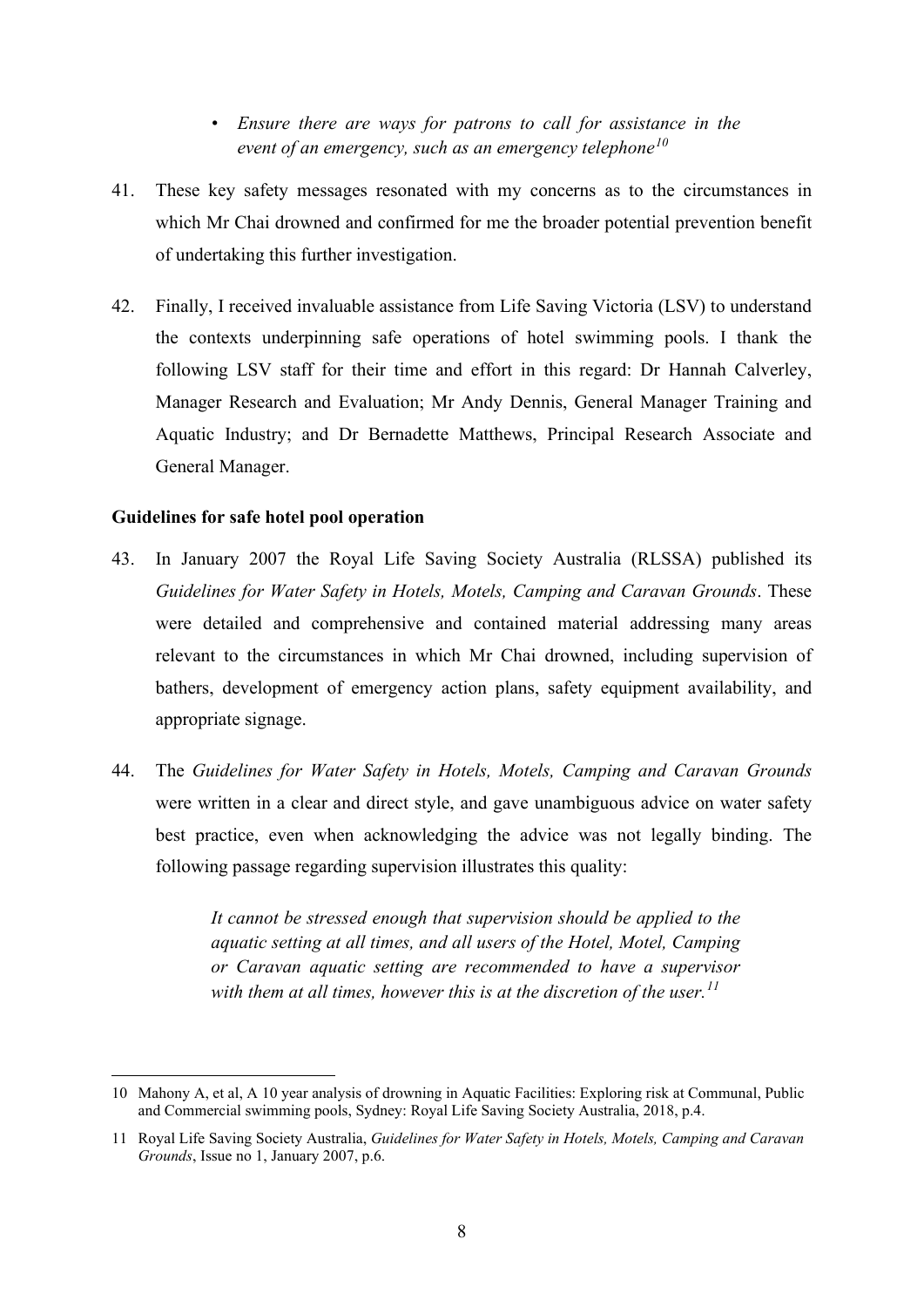## *• Ensure there are ways for patrons to call for assistance in the event of an emergency, such as an emergency telephone[10](#page-8-0)*

- 41. These key safety messages resonated with my concerns as to the circumstances in which Mr Chai drowned and confirmed for me the broader potential prevention benefit of undertaking this further investigation.
- 42. Finally, I received invaluable assistance from Life Saving Victoria (LSV) to understand the contexts underpinning safe operations of hotel swimming pools. I thank the following LSV staff for their time and effort in this regard: Dr Hannah Calverley, Manager Research and Evaluation; Mr Andy Dennis, General Manager Training and Aquatic Industry; and Dr Bernadette Matthews, Principal Research Associate and General Manager.

### **Guidelines for safe hotel pool operation**

- 43. In January 2007 the Royal Life Saving Society Australia (RLSSA) published its *Guidelines for Water Safety in Hotels, Motels, Camping and Caravan Grounds*. These were detailed and comprehensive and contained material addressing many areas relevant to the circumstances in which Mr Chai drowned, including supervision of bathers, development of emergency action plans, safety equipment availability, and appropriate signage.
- 44. The *Guidelines for Water Safety in Hotels, Motels, Camping and Caravan Grounds* were written in a clear and direct style, and gave unambiguous advice on water safety best practice, even when acknowledging the advice was not legally binding. The following passage regarding supervision illustrates this quality:

*It cannot be stressed enough that supervision should be applied to the aquatic setting at all times, and all users of the Hotel, Motel, Camping or Caravan aquatic setting are recommended to have a supervisor with them at all times, however this is at the discretion of the user.[11](#page-8-1)*

<span id="page-8-0"></span><sup>10</sup> Mahony A, et al, A 10 year analysis of drowning in Aquatic Facilities: Exploring risk at Communal, Public and Commercial swimming pools, Sydney: Royal Life Saving Society Australia, 2018, p.4.

<span id="page-8-1"></span><sup>11</sup> Royal Life Saving Society Australia, *Guidelines for Water Safety in Hotels, Motels, Camping and Caravan Grounds*, Issue no 1, January 2007, p.6.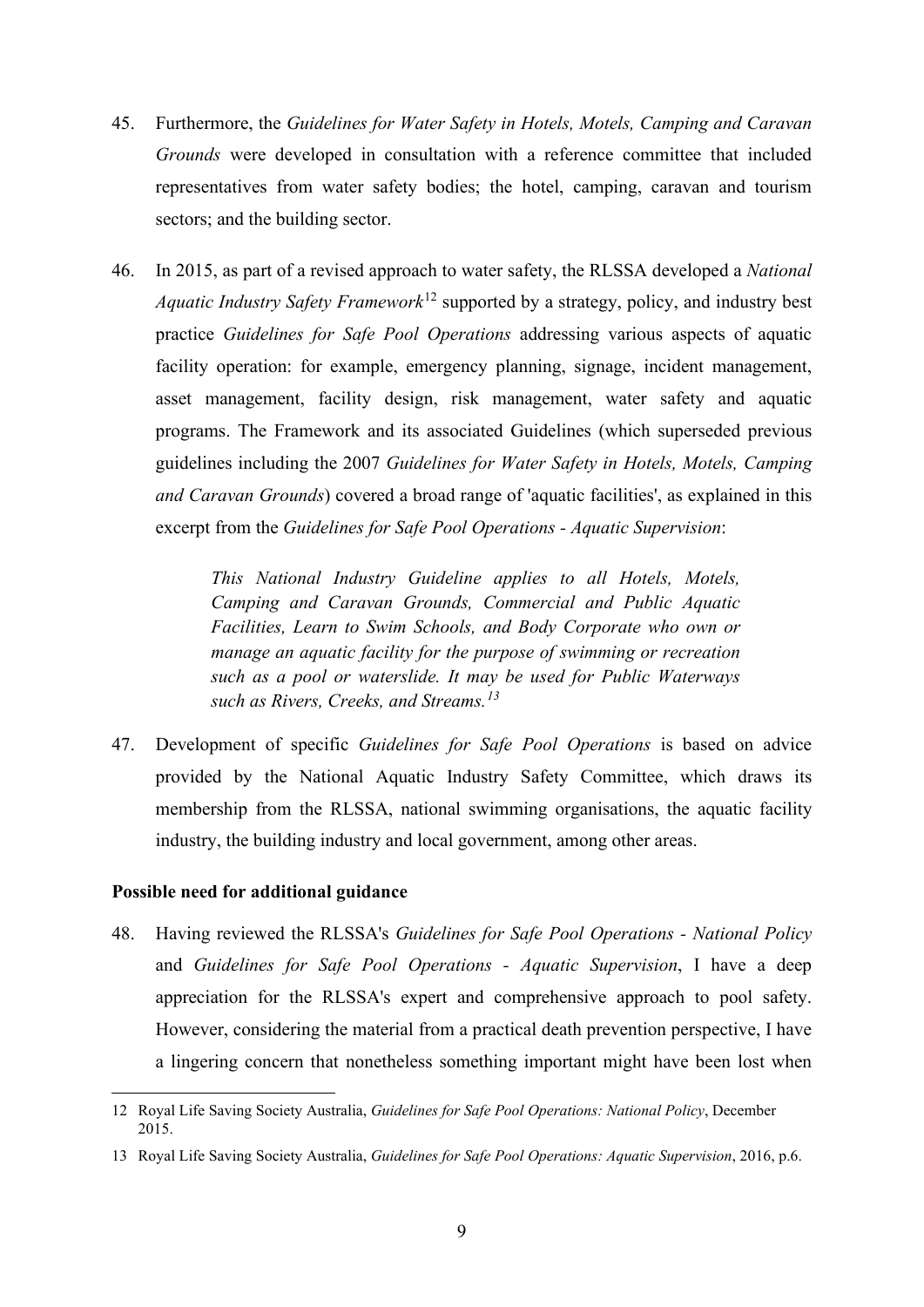- 45. Furthermore, the *Guidelines for Water Safety in Hotels, Motels, Camping and Caravan Grounds* were developed in consultation with a reference committee that included representatives from water safety bodies; the hotel, camping, caravan and tourism sectors; and the building sector.
- 46. In 2015, as part of a revised approach to water safety, the RLSSA developed a *National Aquatic Industry Safety Framework*[12](#page-9-0) supported by a strategy, policy, and industry best practice *Guidelines for Safe Pool Operations* addressing various aspects of aquatic facility operation: for example, emergency planning, signage, incident management, asset management, facility design, risk management, water safety and aquatic programs. The Framework and its associated Guidelines (which superseded previous guidelines including the 2007 *Guidelines for Water Safety in Hotels, Motels, Camping and Caravan Grounds*) covered a broad range of 'aquatic facilities', as explained in this excerpt from the *Guidelines for Safe Pool Operations - Aquatic Supervision*:

*This National Industry Guideline applies to all Hotels, Motels, Camping and Caravan Grounds, Commercial and Public Aquatic Facilities, Learn to Swim Schools, and Body Corporate who own or manage an aquatic facility for the purpose of swimming or recreation such as a pool or waterslide. It may be used for Public Waterways such as Rivers, Creeks, and Streams. [13](#page-9-1)*

47. Development of specific *Guidelines for Safe Pool Operations* is based on advice provided by the National Aquatic Industry Safety Committee, which draws its membership from the RLSSA, national swimming organisations, the aquatic facility industry, the building industry and local government, among other areas.

#### **Possible need for additional guidance**

48. Having reviewed the RLSSA's *Guidelines for Safe Pool Operations - National Policy* and *Guidelines for Safe Pool Operations - Aquatic Supervision*, I have a deep appreciation for the RLSSA's expert and comprehensive approach to pool safety. However, considering the material from a practical death prevention perspective, I have a lingering concern that nonetheless something important might have been lost when

<span id="page-9-0"></span><sup>12</sup> Royal Life Saving Society Australia, *Guidelines for Safe Pool Operations: National Policy*, December 2015.

<span id="page-9-1"></span><sup>13</sup> Royal Life Saving Society Australia, *Guidelines for Safe Pool Operations: Aquatic Supervision*, 2016, p.6.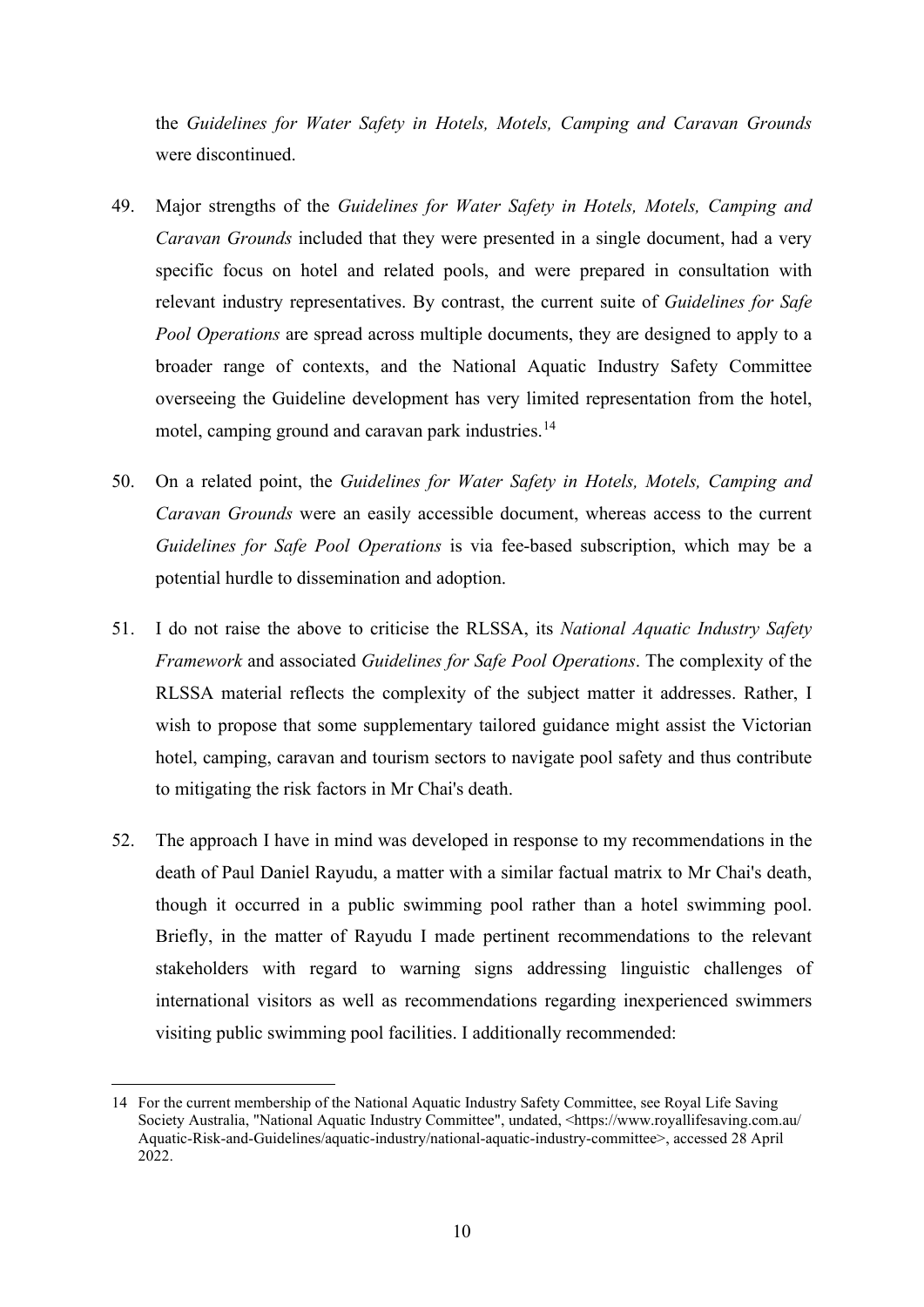the *Guidelines for Water Safety in Hotels, Motels, Camping and Caravan Grounds* were discontinued.

- 49. Major strengths of the *Guidelines for Water Safety in Hotels, Motels, Camping and Caravan Grounds* included that they were presented in a single document, had a very specific focus on hotel and related pools, and were prepared in consultation with relevant industry representatives. By contrast, the current suite of *Guidelines for Safe Pool Operations* are spread across multiple documents, they are designed to apply to a broader range of contexts, and the National Aquatic Industry Safety Committee overseeing the Guideline development has very limited representation from the hotel, motel, camping ground and caravan park industries.<sup>[14](#page-10-0)</sup>
- 50. On a related point, the *Guidelines for Water Safety in Hotels, Motels, Camping and Caravan Grounds* were an easily accessible document, whereas access to the current *Guidelines for Safe Pool Operations* is via fee-based subscription, which may be a potential hurdle to dissemination and adoption.
- 51. I do not raise the above to criticise the RLSSA, its *National Aquatic Industry Safety Framework* and associated *Guidelines for Safe Pool Operations*. The complexity of the RLSSA material reflects the complexity of the subject matter it addresses. Rather, I wish to propose that some supplementary tailored guidance might assist the Victorian hotel, camping, caravan and tourism sectors to navigate pool safety and thus contribute to mitigating the risk factors in Mr Chai's death.
- 52. The approach I have in mind was developed in response to my recommendations in the death of Paul Daniel Rayudu, a matter with a similar factual matrix to Mr Chai's death, though it occurred in a public swimming pool rather than a hotel swimming pool. Briefly, in the matter of Rayudu I made pertinent recommendations to the relevant stakeholders with regard to warning signs addressing linguistic challenges of international visitors as well as recommendations regarding inexperienced swimmers visiting public swimming pool facilities. I additionally recommended:

<span id="page-10-0"></span><sup>14</sup> For the current membership of the National Aquatic Industry Safety Committee, see Royal Life Saving Society Australia, "National Aquatic Industry Committee", undated, <https://www.royallifesaving.com.au/ Aquatic-Risk-and-Guidelines/aquatic-industry/national-aquatic-industry-committee>, accessed 28 April 2022.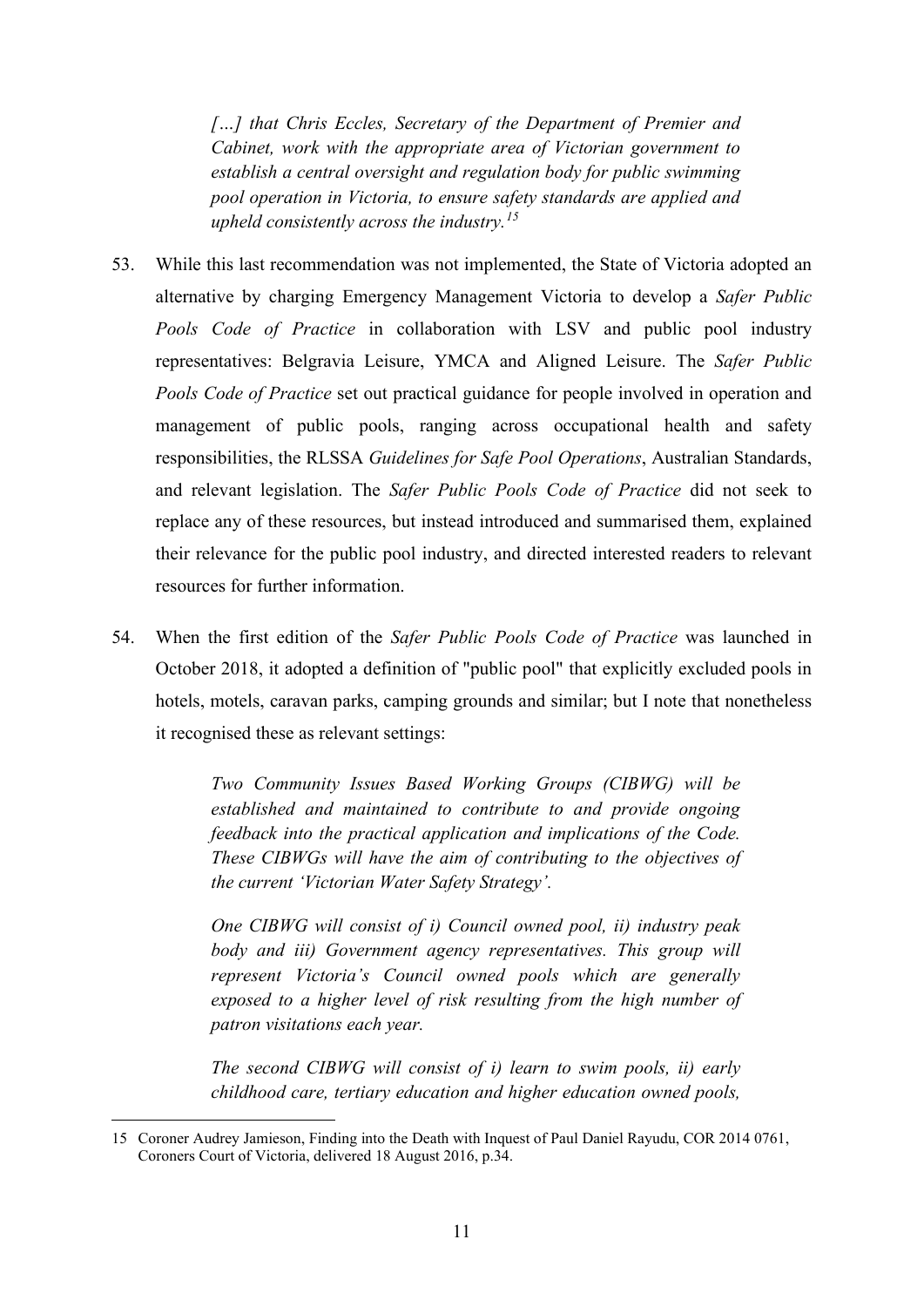*[…] that Chris Eccles, Secretary of the Department of Premier and Cabinet, work with the appropriate area of Victorian government to establish a central oversight and regulation body for public swimming pool operation in Victoria, to ensure safety standards are applied and upheld consistently across the industry. [15](#page-11-0)*

- 53. While this last recommendation was not implemented, the State of Victoria adopted an alternative by charging Emergency Management Victoria to develop a *Safer Public Pools Code of Practice* in collaboration with LSV and public pool industry representatives: Belgravia Leisure, YMCA and Aligned Leisure. The *Safer Public Pools Code of Practice* set out practical guidance for people involved in operation and management of public pools, ranging across occupational health and safety responsibilities, the RLSSA *Guidelines for Safe Pool Operations*, Australian Standards, and relevant legislation. The *Safer Public Pools Code of Practice* did not seek to replace any of these resources, but instead introduced and summarised them, explained their relevance for the public pool industry, and directed interested readers to relevant resources for further information.
- 54. When the first edition of the *Safer Public Pools Code of Practice* was launched in October 2018, it adopted a definition of "public pool" that explicitly excluded pools in hotels, motels, caravan parks, camping grounds and similar; but I note that nonetheless it recognised these as relevant settings:

*Two Community Issues Based Working Groups (CIBWG) will be established and maintained to contribute to and provide ongoing feedback into the practical application and implications of the Code. These CIBWGs will have the aim of contributing to the objectives of the current 'Victorian Water Safety Strategy'.*

*One CIBWG will consist of i) Council owned pool, ii) industry peak body and iii) Government agency representatives. This group will represent Victoria's Council owned pools which are generally exposed to a higher level of risk resulting from the high number of patron visitations each year.*

*The second CIBWG will consist of i) learn to swim pools, ii) early childhood care, tertiary education and higher education owned pools,* 

<span id="page-11-0"></span><sup>15</sup> Coroner Audrey Jamieson, Finding into the Death with Inquest of Paul Daniel Rayudu, COR 2014 0761, Coroners Court of Victoria, delivered 18 August 2016, p.34.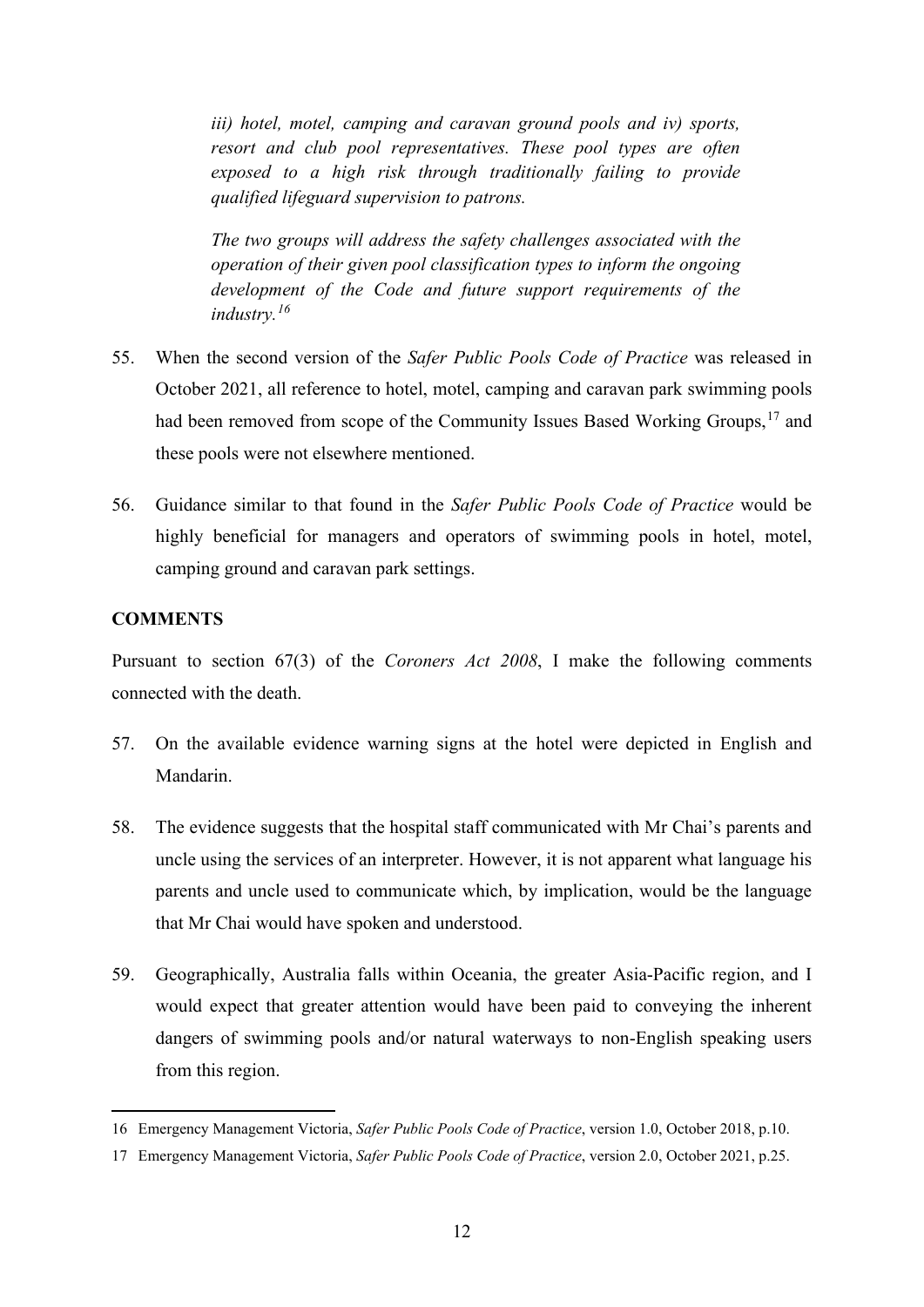*iii) hotel, motel, camping and caravan ground pools and iv) sports, resort and club pool representatives. These pool types are often exposed to a high risk through traditionally failing to provide qualified lifeguard supervision to patrons.*

*The two groups will address the safety challenges associated with the operation of their given pool classification types to inform the ongoing development of the Code and future support requirements of the industry. [16](#page-12-0)*

- 55. When the second version of the *Safer Public Pools Code of Practice* was released in October 2021, all reference to hotel, motel, camping and caravan park swimming pools had been removed from scope of the Community Issues Based Working Groups,<sup>[17](#page-12-1)</sup> and these pools were not elsewhere mentioned.
- 56. Guidance similar to that found in the *Safer Public Pools Code of Practice* would be highly beneficial for managers and operators of swimming pools in hotel, motel, camping ground and caravan park settings.

#### **COMMENTS**

Pursuant to section 67(3) of the *Coroners Act 2008*, I make the following comments connected with the death.

- 57. On the available evidence warning signs at the hotel were depicted in English and Mandarin.
- 58. The evidence suggests that the hospital staff communicated with Mr Chai's parents and uncle using the services of an interpreter. However, it is not apparent what language his parents and uncle used to communicate which, by implication, would be the language that Mr Chai would have spoken and understood.
- 59. Geographically, Australia falls within Oceania, the greater Asia-Pacific region, and I would expect that greater attention would have been paid to conveying the inherent dangers of swimming pools and/or natural waterways to non-English speaking users from this region.

<span id="page-12-0"></span><sup>16</sup> Emergency Management Victoria, *Safer Public Pools Code of Practice*, version 1.0, October 2018, p.10.

<span id="page-12-1"></span><sup>17</sup> Emergency Management Victoria, *Safer Public Pools Code of Practice*, version 2.0, October 2021, p.25.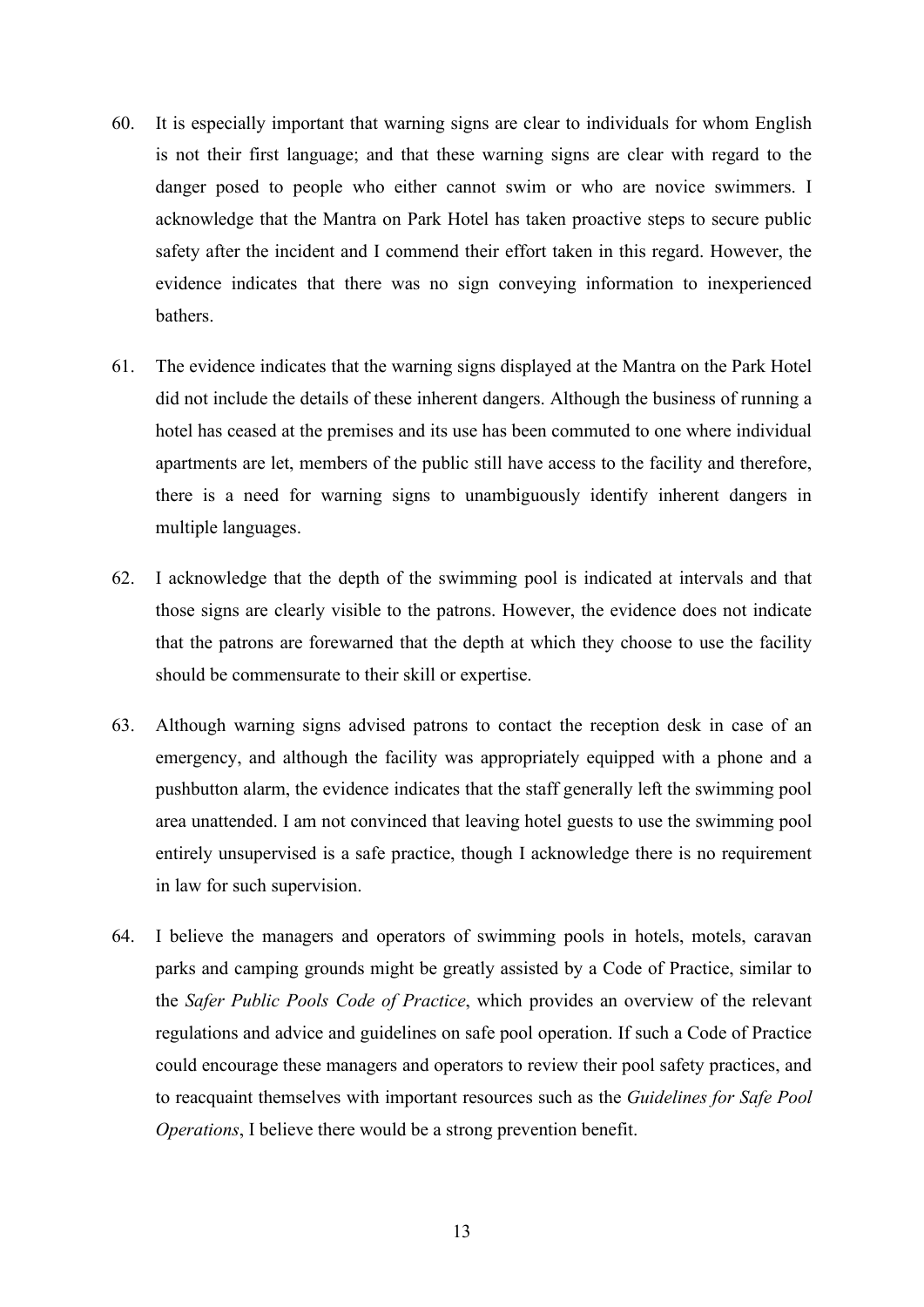- 60. It is especially important that warning signs are clear to individuals for whom English is not their first language; and that these warning signs are clear with regard to the danger posed to people who either cannot swim or who are novice swimmers. I acknowledge that the Mantra on Park Hotel has taken proactive steps to secure public safety after the incident and I commend their effort taken in this regard. However, the evidence indicates that there was no sign conveying information to inexperienced bathers.
- 61. The evidence indicates that the warning signs displayed at the Mantra on the Park Hotel did not include the details of these inherent dangers. Although the business of running a hotel has ceased at the premises and its use has been commuted to one where individual apartments are let, members of the public still have access to the facility and therefore, there is a need for warning signs to unambiguously identify inherent dangers in multiple languages.
- 62. I acknowledge that the depth of the swimming pool is indicated at intervals and that those signs are clearly visible to the patrons. However, the evidence does not indicate that the patrons are forewarned that the depth at which they choose to use the facility should be commensurate to their skill or expertise.
- 63. Although warning signs advised patrons to contact the reception desk in case of an emergency, and although the facility was appropriately equipped with a phone and a pushbutton alarm, the evidence indicates that the staff generally left the swimming pool area unattended. I am not convinced that leaving hotel guests to use the swimming pool entirely unsupervised is a safe practice, though I acknowledge there is no requirement in law for such supervision.
- 64. I believe the managers and operators of swimming pools in hotels, motels, caravan parks and camping grounds might be greatly assisted by a Code of Practice, similar to the *Safer Public Pools Code of Practice*, which provides an overview of the relevant regulations and advice and guidelines on safe pool operation. If such a Code of Practice could encourage these managers and operators to review their pool safety practices, and to reacquaint themselves with important resources such as the *Guidelines for Safe Pool Operations*, I believe there would be a strong prevention benefit.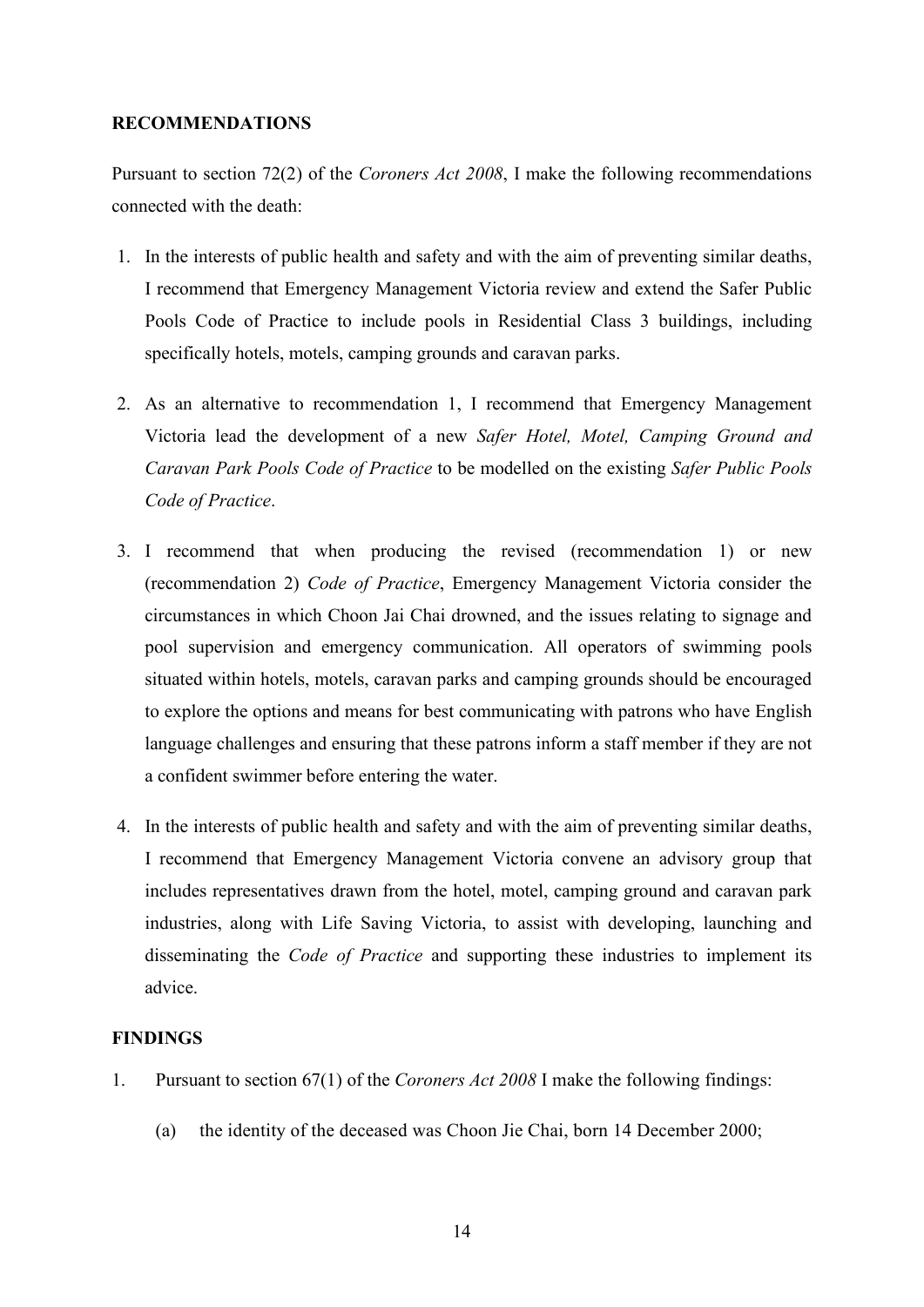#### **RECOMMENDATIONS**

Pursuant to section 72(2) of the *Coroners Act 2008*, I make the following recommendations connected with the death:

- 1. In the interests of public health and safety and with the aim of preventing similar deaths, I recommend that Emergency Management Victoria review and extend the Safer Public Pools Code of Practice to include pools in Residential Class 3 buildings, including specifically hotels, motels, camping grounds and caravan parks.
- 2. As an alternative to recommendation 1, I recommend that Emergency Management Victoria lead the development of a new *Safer Hotel, Motel, Camping Ground and Caravan Park Pools Code of Practice* to be modelled on the existing *Safer Public Pools Code of Practice*.
- 3. I recommend that when producing the revised (recommendation 1) or new (recommendation 2) *Code of Practice*, Emergency Management Victoria consider the circumstances in which Choon Jai Chai drowned, and the issues relating to signage and pool supervision and emergency communication. All operators of swimming pools situated within hotels, motels, caravan parks and camping grounds should be encouraged to explore the options and means for best communicating with patrons who have English language challenges and ensuring that these patrons inform a staff member if they are not a confident swimmer before entering the water.
- 4. In the interests of public health and safety and with the aim of preventing similar deaths, I recommend that Emergency Management Victoria convene an advisory group that includes representatives drawn from the hotel, motel, camping ground and caravan park industries, along with Life Saving Victoria, to assist with developing, launching and disseminating the *Code of Practice* and supporting these industries to implement its advice.

#### **FINDINGS**

- 1. Pursuant to section 67(1) of the *Coroners Act 2008* I make the following findings:
	- (a) the identity of the deceased was Choon Jie Chai, born 14 December 2000;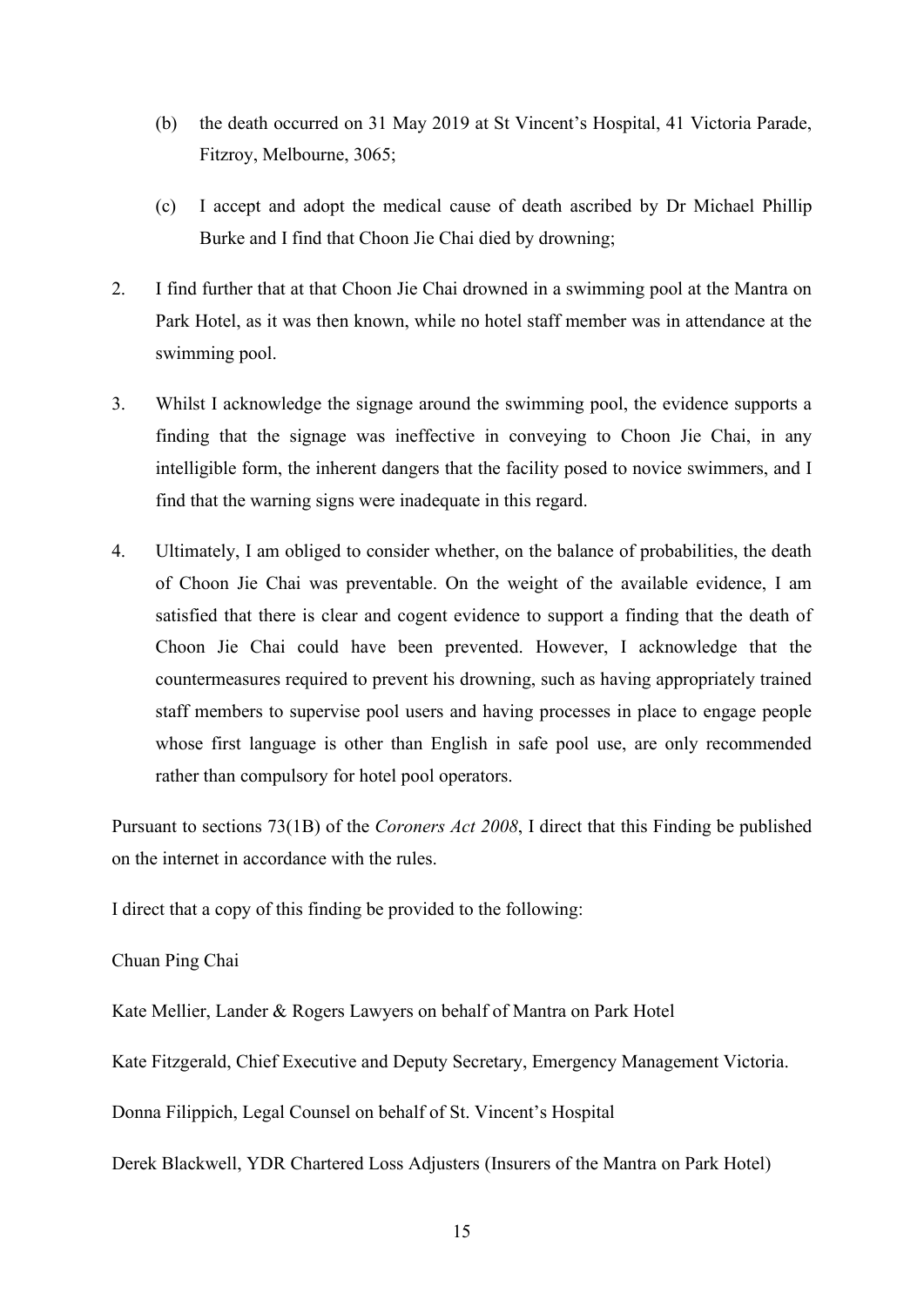- (b) the death occurred on 31 May 2019 at St Vincent's Hospital, 41 Victoria Parade, Fitzroy, Melbourne, 3065;
- (c) I accept and adopt the medical cause of death ascribed by Dr Michael Phillip Burke and I find that Choon Jie Chai died by drowning;
- 2. I find further that at that Choon Jie Chai drowned in a swimming pool at the Mantra on Park Hotel, as it was then known, while no hotel staff member was in attendance at the swimming pool.
- 3. Whilst I acknowledge the signage around the swimming pool, the evidence supports a finding that the signage was ineffective in conveying to Choon Jie Chai, in any intelligible form, the inherent dangers that the facility posed to novice swimmers, and I find that the warning signs were inadequate in this regard.
- 4. Ultimately, I am obliged to consider whether, on the balance of probabilities, the death of Choon Jie Chai was preventable. On the weight of the available evidence, I am satisfied that there is clear and cogent evidence to support a finding that the death of Choon Jie Chai could have been prevented. However, I acknowledge that the countermeasures required to prevent his drowning, such as having appropriately trained staff members to supervise pool users and having processes in place to engage people whose first language is other than English in safe pool use, are only recommended rather than compulsory for hotel pool operators.

Pursuant to sections 73(1B) of the *Coroners Act 2008*, I direct that this Finding be published on the internet in accordance with the rules.

I direct that a copy of this finding be provided to the following:

#### Chuan Ping Chai

Kate Mellier, Lander & Rogers Lawyers on behalf of Mantra on Park Hotel

Kate Fitzgerald, Chief Executive and Deputy Secretary, Emergency Management Victoria.

Donna Filippich, Legal Counsel on behalf of St. Vincent's Hospital

Derek Blackwell, YDR Chartered Loss Adjusters (Insurers of the Mantra on Park Hotel)